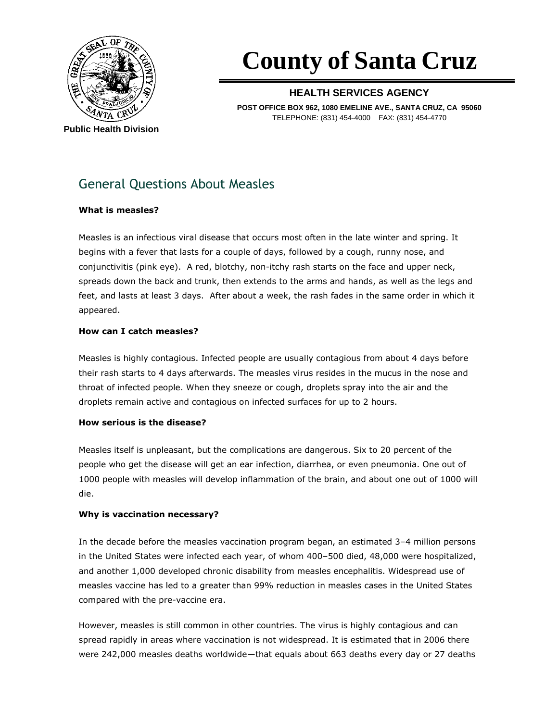

# **County of Santa Cruz**

### **HEALTH SERVICES AGENCY**

**POST OFFICE BOX 962, 1080 EMELINE AVE., SANTA CRUZ, CA 95060** TELEPHONE: (831) 454-4000 FAX: (831) 454-4770

## General Questions About Measles

#### **What is measles?**

Measles is an infectious viral disease that occurs most often in the late winter and spring. It begins with a fever that lasts for a couple of days, followed by a cough, runny nose, and conjunctivitis (pink eye). A red, blotchy, non-itchy rash starts on the face and upper neck, spreads down the back and trunk, then extends to the arms and hands, as well as the legs and feet, and lasts at least 3 days. After about a week, the rash fades in the same order in which it appeared.

#### **How can I catch measles?**

Measles is highly contagious. Infected people are usually contagious from about 4 days before their rash starts to 4 days afterwards. The measles virus resides in the mucus in the nose and throat of infected people. When they sneeze or cough, droplets spray into the air and the droplets remain active and contagious on infected surfaces for up to 2 hours.

#### **How serious is the disease?**

Measles itself is unpleasant, but the complications are dangerous. Six to 20 percent of the people who get the disease will get an ear infection, diarrhea, or even pneumonia. One out of 1000 people with measles will develop inflammation of the brain, and about one out of 1000 will die.

#### **Why is vaccination necessary?**

In the decade before the measles vaccination program began, an estimated 3–4 million persons in the United States were infected each year, of whom 400–500 died, 48,000 were hospitalized, and another 1,000 developed chronic disability from measles encephalitis. Widespread use of measles vaccine has led to a greater than 99% reduction in measles cases in the United States compared with the pre-vaccine era.

However, measles is still common in other countries. The virus is highly contagious and can spread rapidly in areas where vaccination is not widespread. It is estimated that in 2006 there were 242,000 measles deaths worldwide—that equals about 663 deaths every day or 27 deaths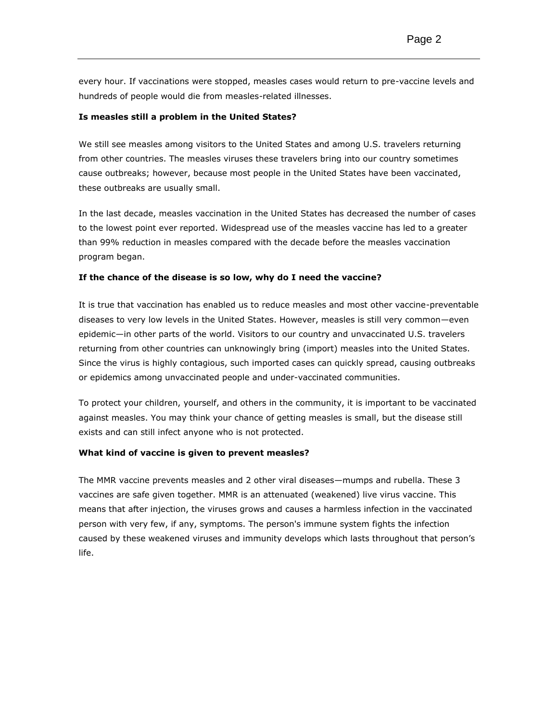every hour. If vaccinations were stopped, measles cases would return to pre-vaccine levels and hundreds of people would die from measles-related illnesses.

#### **Is measles still a problem in the United States?**

We still see measles among visitors to the United States and among U.S. travelers returning from other countries. The measles viruses these travelers bring into our country sometimes cause outbreaks; however, because most people in the United States have been vaccinated, these outbreaks are usually small.

In the last decade, measles vaccination in the United States has decreased the number of cases to the lowest point ever reported. Widespread use of the measles vaccine has led to a greater than 99% reduction in measles compared with the decade before the measles vaccination program began.

#### **If the chance of the disease is so low, why do I need the vaccine?**

It is true that vaccination has enabled us to reduce measles and most other vaccine-preventable diseases to very low levels in the United States. However, measles is still very common—even epidemic—in other parts of the world. Visitors to our country and unvaccinated U.S. travelers returning from other countries can unknowingly bring (import) measles into the United States. Since the virus is highly contagious, such imported cases can quickly spread, causing outbreaks or epidemics among unvaccinated people and under-vaccinated communities.

To protect your children, yourself, and others in the community, it is important to be vaccinated against measles. You may think your chance of getting measles is small, but the disease still exists and can still infect anyone who is not protected.

#### **What kind of vaccine is given to prevent measles?**

The MMR vaccine prevents measles and 2 other viral diseases—mumps and rubella. These 3 vaccines are safe given together. MMR is an attenuated (weakened) live virus vaccine. This means that after injection, the viruses grows and causes a harmless infection in the vaccinated person with very few, if any, symptoms. The person's immune system fights the infection caused by these weakened viruses and immunity develops which lasts throughout that person's life.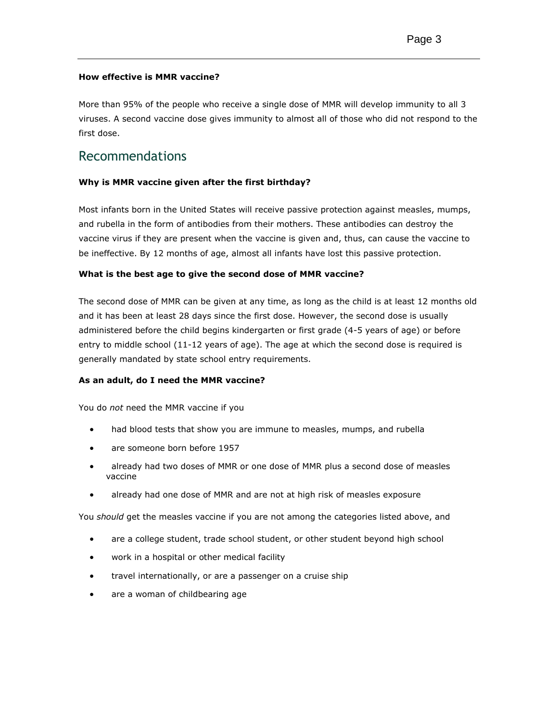#### **How effective is MMR vaccine?**

More than 95% of the people who receive a single dose of MMR will develop immunity to all 3 viruses. A second vaccine dose gives immunity to almost all of those who did not respond to the first dose.

## Recommendations

#### **Why is MMR vaccine given after the first birthday?**

Most infants born in the United States will receive passive protection against measles, mumps, and rubella in the form of antibodies from their mothers. These antibodies can destroy the vaccine virus if they are present when the vaccine is given and, thus, can cause the vaccine to be ineffective. By 12 months of age, almost all infants have lost this passive protection.

#### **What is the best age to give the second dose of MMR vaccine?**

The second dose of MMR can be given at any time, as long as the child is at least 12 months old and it has been at least 28 days since the first dose. However, the second dose is usually administered before the child begins kindergarten or first grade (4-5 years of age) or before entry to middle school (11-12 years of age). The age at which the second dose is required is generally mandated by state school entry requirements.

#### **As an adult, do I need the MMR vaccine?**

You do *not* need the MMR vaccine if you

- had blood tests that show you are immune to measles, mumps, and rubella
- are someone born before 1957
- already had two doses of MMR or one dose of MMR plus a second dose of measles vaccine
- already had one dose of MMR and are not at high risk of measles exposure

You *should* get the measles vaccine if you are not among the categories listed above, and

- are a college student, trade school student, or other student beyond high school
- work in a hospital or other medical facility
- **•** travel internationally, or are a passenger on a cruise ship
- are a woman of childbearing age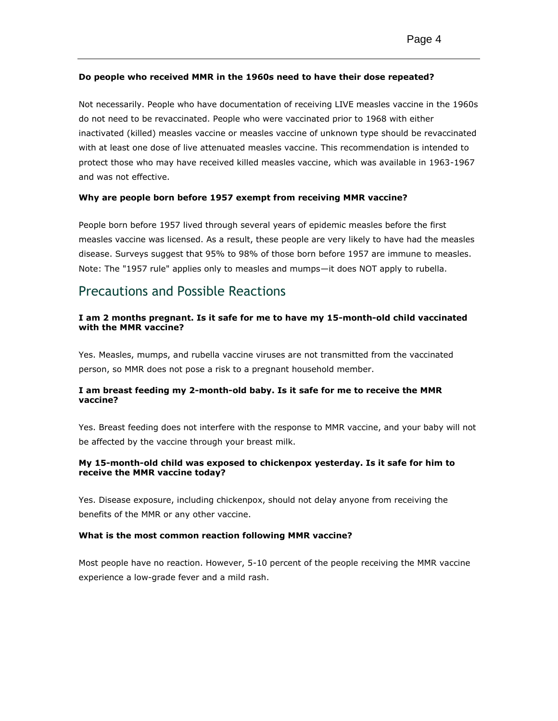#### **Do people who received MMR in the 1960s need to have their dose repeated?**

Not necessarily. People who have documentation of receiving LIVE measles vaccine in the 1960s do not need to be revaccinated. People who were vaccinated prior to 1968 with either inactivated (killed) measles vaccine or measles vaccine of unknown type should be revaccinated with at least one dose of live attenuated measles vaccine. This recommendation is intended to protect those who may have received killed measles vaccine, which was available in 1963-1967 and was not effective.

#### **Why are people born before 1957 exempt from receiving MMR vaccine?**

People born before 1957 lived through several years of epidemic measles before the first measles vaccine was licensed. As a result, these people are very likely to have had the measles disease. Surveys suggest that 95% to 98% of those born before 1957 are immune to measles. Note: The "1957 rule" applies only to measles and mumps—it does NOT apply to rubella.

## Precautions and Possible Reactions

#### **I am 2 months pregnant. Is it safe for me to have my 15-month-old child vaccinated with the MMR vaccine?**

Yes. Measles, mumps, and rubella vaccine viruses are not transmitted from the vaccinated person, so MMR does not pose a risk to a pregnant household member.

#### **I am breast feeding my 2-month-old baby. Is it safe for me to receive the MMR vaccine?**

Yes. Breast feeding does not interfere with the response to MMR vaccine, and your baby will not be affected by the vaccine through your breast milk.

#### **My 15-month-old child was exposed to chickenpox yesterday. Is it safe for him to receive the MMR vaccine today?**

Yes. Disease exposure, including chickenpox, should not delay anyone from receiving the benefits of the MMR or any other vaccine.

#### **What is the most common reaction following MMR vaccine?**

Most people have no reaction. However, 5-10 percent of the people receiving the MMR vaccine experience a low-grade fever and a mild rash.